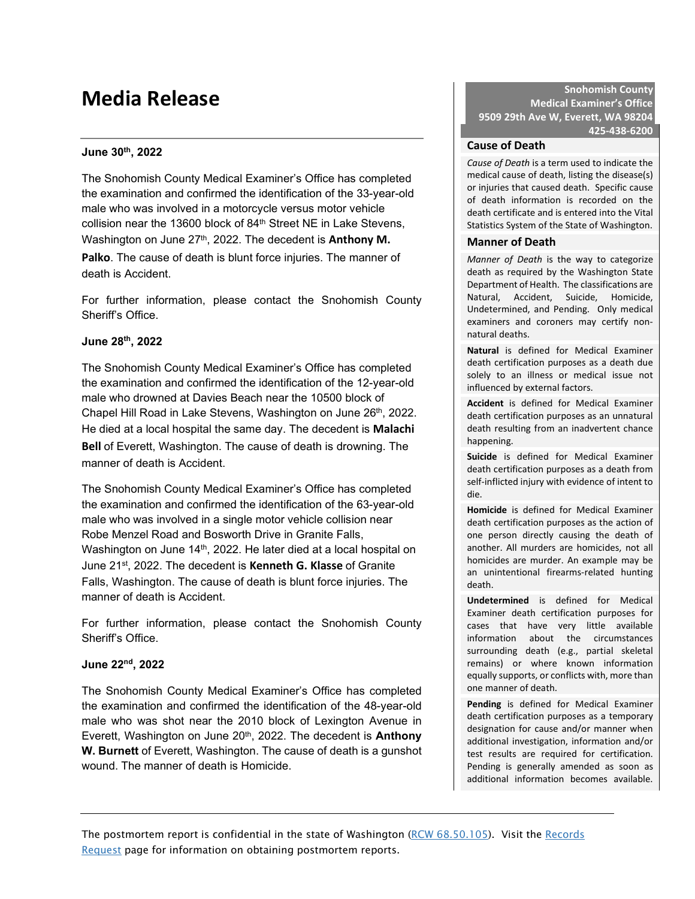# **Media Release**

# **June 30th, 2022**

The Snohomish County Medical Examiner's Office has completed the examination and confirmed the identification of the 33-year-old male who was involved in a motorcycle versus motor vehicle collision near the 13600 block of 84<sup>th</sup> Street NE in Lake Stevens, Washington on June 27<sup>th</sup>, 2022. The decedent is **Anthony M. Palko**. The cause of death is blunt force injuries. The manner of death is Accident.

For further information, please contact the Snohomish County Sheriff's Office.

#### **June 28th, 2022**

The Snohomish County Medical Examiner's Office has completed the examination and confirmed the identification of the 12-year-old male who drowned at Davies Beach near the 10500 block of Chapel Hill Road in Lake Stevens, Washington on June 26<sup>th</sup>, 2022. He died at a local hospital the same day. The decedent is **Malachi Bell** of Everett, Washington. The cause of death is drowning. The manner of death is Accident.

The Snohomish County Medical Examiner's Office has completed the examination and confirmed the identification of the 63-year-old male who was involved in a single motor vehicle collision near Robe Menzel Road and Bosworth Drive in Granite Falls, Washington on June 14<sup>th</sup>, 2022. He later died at a local hospital on June 21st, 2022. The decedent is **Kenneth G. Klasse** of Granite Falls, Washington. The cause of death is blunt force injuries. The manner of death is Accident.

For further information, please contact the Snohomish County Sheriff's Office.

#### **June 22nd, 2022**

The Snohomish County Medical Examiner's Office has completed the examination and confirmed the identification of the 48-year-old male who was shot near the 2010 block of Lexington Avenue in Everett, Washington on June 20<sup>th</sup>, 2022. The decedent is **Anthony W. Burnett** of Everett, Washington. The cause of death is a gunshot wound. The manner of death is Homicide.

**Snohomish County Medical Examiner's Office 9509 29th Ave W, Everett, WA 98204 425-438-6200**

#### **Cause of Death**

*Cause of Death* is a term used to indicate the medical cause of death, listing the disease(s) or injuries that caused death. Specific cause of death information is recorded on the death certificate and is entered into the Vital Statistics System of the State of Washington.

#### **Manner of Death**

*Manner of Death* is the way to categorize death as required by the Washington State Department of Health. The classifications are Natural, Accident, Suicide, Homicide, Undetermined, and Pending. Only medical examiners and coroners may certify nonnatural deaths.

**Natural** is defined for Medical Examiner death certification purposes as a death due solely to an illness or medical issue not influenced by external factors.

**Accident** is defined for Medical Examiner death certification purposes as an unnatural death resulting from an inadvertent chance happening.

**Suicide** is defined for Medical Examiner death certification purposes as a death from self-inflicted injury with evidence of intent to die.

**Homicide** is defined for Medical Examiner death certification purposes as the action of one person directly causing the death of another. All murders are homicides, not all homicides are murder. An example may be an unintentional firearms-related hunting death.

**Undetermined** is defined for Medical Examiner death certification purposes for cases that have very little available information about the circumstances surrounding death (e.g., partial skeletal remains) or where known information equally supports, or conflicts with, more than one manner of death.

**Pending** is defined for Medical Examiner death certification purposes as a temporary designation for cause and/or manner when additional investigation, information and/or test results are required for certification. Pending is generally amended as soon as additional information becomes available.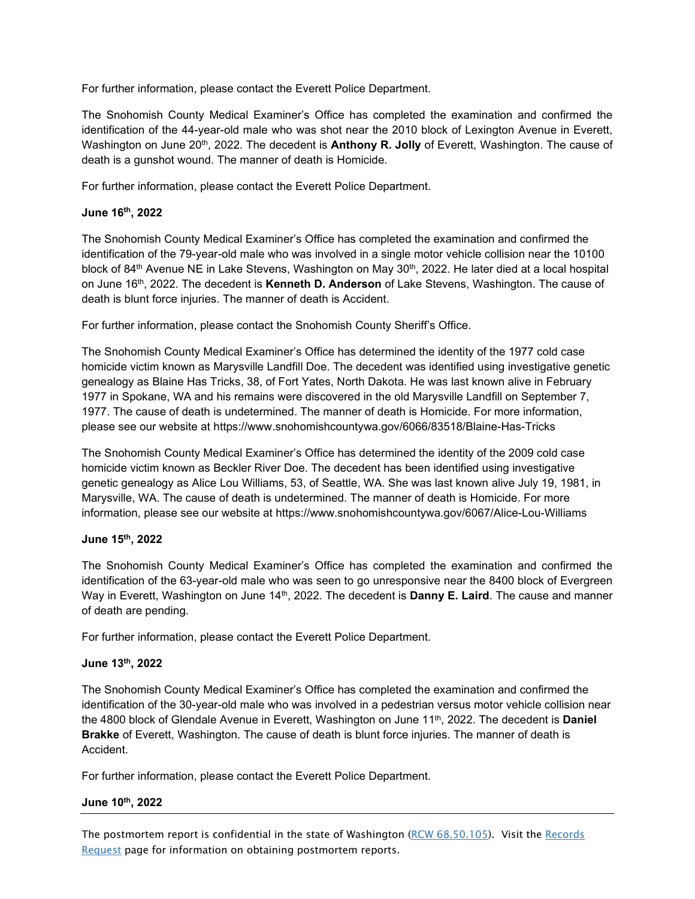For further information, please contact the Everett Police Department.

The Snohomish County Medical Examiner's Office has completed the examination and confirmed the identification of the 44-year-old male who was shot near the 2010 block of Lexington Avenue in Everett, Washington on June 20th, 2022. The decedent is **Anthony R. Jolly** of Everett, Washington. The cause of death is a gunshot wound. The manner of death is Homicide.

For further information, please contact the Everett Police Department.

### **June 16th, 2022**

The Snohomish County Medical Examiner's Office has completed the examination and confirmed the identification of the 79-year-old male who was involved in a single motor vehicle collision near the 10100 block of 84<sup>th</sup> Avenue NE in Lake Stevens, Washington on May 30<sup>th</sup>, 2022. He later died at a local hospital on June 16th, 2022. The decedent is **Kenneth D. Anderson** of Lake Stevens, Washington. The cause of death is blunt force injuries. The manner of death is Accident.

For further information, please contact the Snohomish County Sheriff's Office.

The Snohomish County Medical Examiner's Office has determined the identity of the 1977 cold case homicide victim known as Marysville Landfill Doe. The decedent was identified using investigative genetic genealogy as Blaine Has Tricks, 38, of Fort Yates, North Dakota. He was last known alive in February 1977 in Spokane, WA and his remains were discovered in the old Marysville Landfill on September 7, 1977. The cause of death is undetermined. The manner of death is Homicide. For more information, please see our website at https://www.snohomishcountywa.gov/6066/83518/Blaine-Has-Tricks

The Snohomish County Medical Examiner's Office has determined the identity of the 2009 cold case homicide victim known as Beckler River Doe. The decedent has been identified using investigative genetic genealogy as Alice Lou Williams, 53, of Seattle, WA. She was last known alive July 19, 1981, in Marysville, WA. The cause of death is undetermined. The manner of death is Homicide. For more information, please see our website at https://www.snohomishcountywa.gov/6067/Alice-Lou-Williams

#### **June 15th, 2022**

The Snohomish County Medical Examiner's Office has completed the examination and confirmed the identification of the 63-year-old male who was seen to go unresponsive near the 8400 block of Evergreen Way in Everett, Washington on June 14<sup>th</sup>, 2022. The decedent is **Danny E. Laird**. The cause and manner of death are pending.

For further information, please contact the Everett Police Department.

#### **June 13th, 2022**

The Snohomish County Medical Examiner's Office has completed the examination and confirmed the identification of the 30-year-old male who was involved in a pedestrian versus motor vehicle collision near the 4800 block of Glendale Avenue in Everett, Washington on June 11<sup>th</sup>, 2022. The decedent is **Daniel Brakke** of Everett, Washington. The cause of death is blunt force injuries. The manner of death is Accident.

For further information, please contact the Everett Police Department.

#### **June 10th, 2022**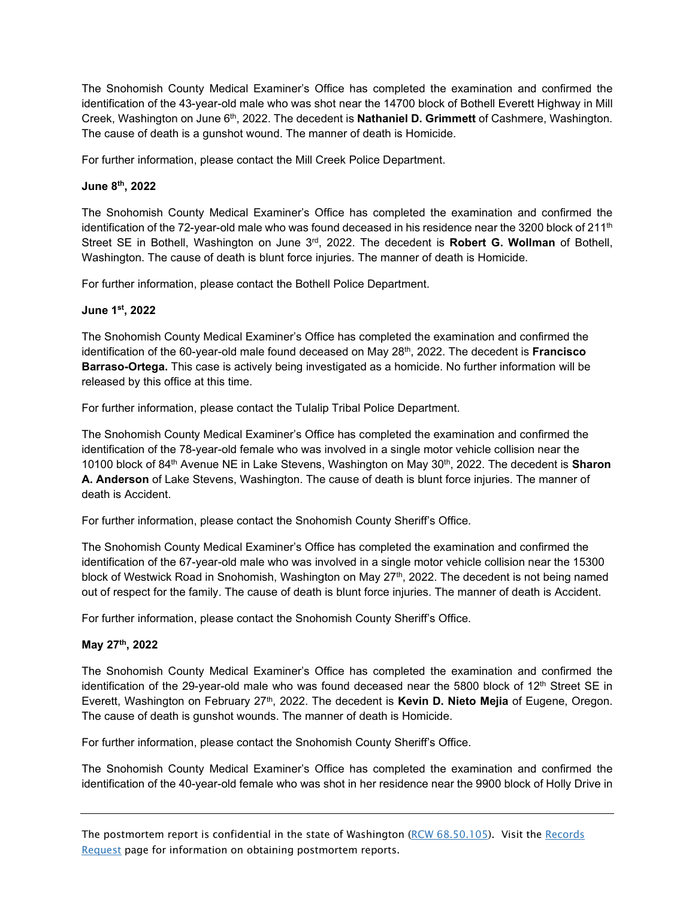The Snohomish County Medical Examiner's Office has completed the examination and confirmed the identification of the 43-year-old male who was shot near the 14700 block of Bothell Everett Highway in Mill Creek, Washington on June 6th, 2022. The decedent is **Nathaniel D. Grimmett** of Cashmere, Washington. The cause of death is a gunshot wound. The manner of death is Homicide.

For further information, please contact the Mill Creek Police Department.

# **June 8th, 2022**

The Snohomish County Medical Examiner's Office has completed the examination and confirmed the identification of the 72-year-old male who was found deceased in his residence near the 3200 block of  $211<sup>th</sup>$ Street SE in Bothell, Washington on June 3rd, 2022. The decedent is **Robert G. Wollman** of Bothell, Washington. The cause of death is blunt force injuries. The manner of death is Homicide.

For further information, please contact the Bothell Police Department.

# **June 1st, 2022**

The Snohomish County Medical Examiner's Office has completed the examination and confirmed the identification of the 60-year-old male found deceased on May 28<sup>th</sup>, 2022. The decedent is **Francisco Barraso-Ortega.** This case is actively being investigated as a homicide. No further information will be released by this office at this time.

For further information, please contact the Tulalip Tribal Police Department.

The Snohomish County Medical Examiner's Office has completed the examination and confirmed the identification of the 78-year-old female who was involved in a single motor vehicle collision near the 10100 block of 84th Avenue NE in Lake Stevens, Washington on May 30th, 2022. The decedent is **Sharon A. Anderson** of Lake Stevens, Washington. The cause of death is blunt force injuries. The manner of death is Accident.

For further information, please contact the Snohomish County Sheriff's Office.

The Snohomish County Medical Examiner's Office has completed the examination and confirmed the identification of the 67-year-old male who was involved in a single motor vehicle collision near the 15300 block of Westwick Road in Snohomish, Washington on May 27<sup>th</sup>, 2022. The decedent is not being named out of respect for the family. The cause of death is blunt force injuries. The manner of death is Accident.

For further information, please contact the Snohomish County Sheriff's Office.

# **May 27th, 2022**

The Snohomish County Medical Examiner's Office has completed the examination and confirmed the identification of the 29-year-old male who was found deceased near the 5800 block of  $12<sup>th</sup>$  Street SE in Everett, Washington on February 27th, 2022. The decedent is **Kevin D. Nieto Mejia** of Eugene, Oregon. The cause of death is gunshot wounds. The manner of death is Homicide.

For further information, please contact the Snohomish County Sheriff's Office.

The Snohomish County Medical Examiner's Office has completed the examination and confirmed the identification of the 40-year-old female who was shot in her residence near the 9900 block of Holly Drive in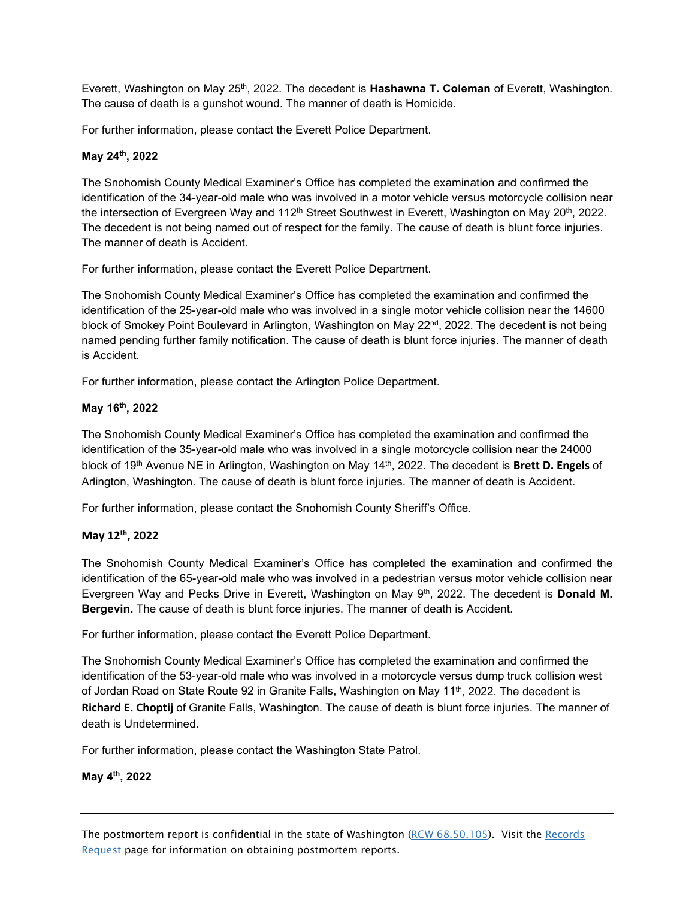Everett, Washington on May 25th, 2022. The decedent is **Hashawna T. Coleman** of Everett, Washington. The cause of death is a gunshot wound. The manner of death is Homicide.

For further information, please contact the Everett Police Department.

# **May 24th, 2022**

The Snohomish County Medical Examiner's Office has completed the examination and confirmed the identification of the 34-year-old male who was involved in a motor vehicle versus motorcycle collision near the intersection of Evergreen Way and 112<sup>th</sup> Street Southwest in Everett, Washington on May 20<sup>th</sup>, 2022. The decedent is not being named out of respect for the family. The cause of death is blunt force injuries. The manner of death is Accident.

For further information, please contact the Everett Police Department.

The Snohomish County Medical Examiner's Office has completed the examination and confirmed the identification of the 25-year-old male who was involved in a single motor vehicle collision near the 14600 block of Smokey Point Boulevard in Arlington, Washington on May 22<sup>nd</sup>, 2022. The decedent is not being named pending further family notification. The cause of death is blunt force injuries. The manner of death is Accident.

For further information, please contact the Arlington Police Department.

# **May 16th, 2022**

The Snohomish County Medical Examiner's Office has completed the examination and confirmed the identification of the 35-year-old male who was involved in a single motorcycle collision near the 24000 block of 19th Avenue NE in Arlington, Washington on May 14th, 2022. The decedent is **Brett D. Engels** of Arlington, Washington. The cause of death is blunt force injuries. The manner of death is Accident.

For further information, please contact the Snohomish County Sheriff's Office.

# **May 12th, 2022**

The Snohomish County Medical Examiner's Office has completed the examination and confirmed the identification of the 65-year-old male who was involved in a pedestrian versus motor vehicle collision near Evergreen Way and Pecks Drive in Everett, Washington on May 9<sup>th</sup>, 2022. The decedent is **Donald M. Bergevin.** The cause of death is blunt force injuries. The manner of death is Accident.

For further information, please contact the Everett Police Department.

The Snohomish County Medical Examiner's Office has completed the examination and confirmed the identification of the 53-year-old male who was involved in a motorcycle versus dump truck collision west of Jordan Road on State Route 92 in Granite Falls, Washington on May 11<sup>th</sup>, 2022. The decedent is **Richard E. Choptij** of Granite Falls, Washington. The cause of death is blunt force injuries. The manner of death is Undetermined.

For further information, please contact the Washington State Patrol.

# **May 4th, 2022**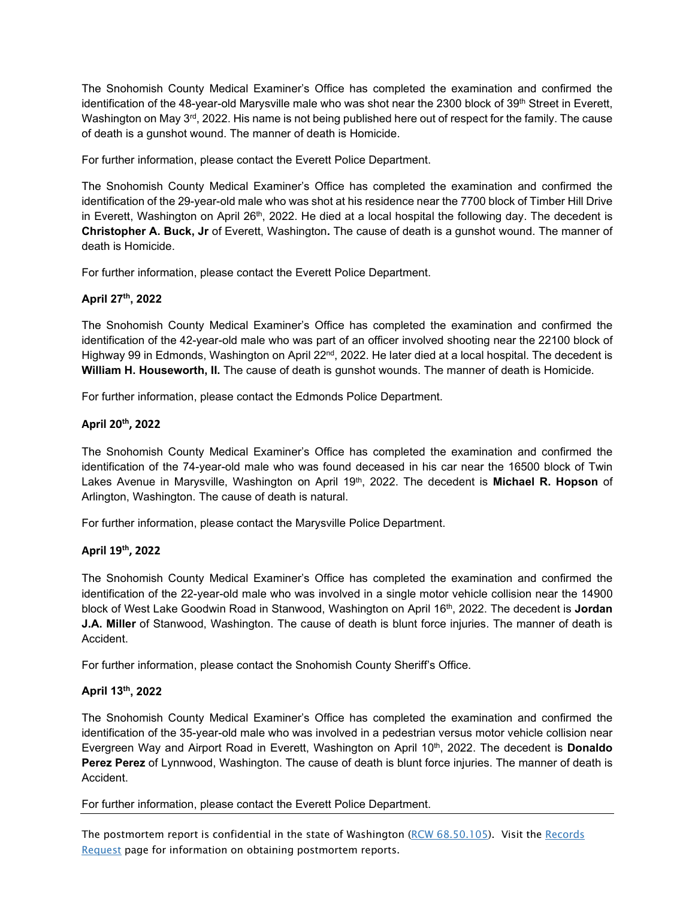The Snohomish County Medical Examiner's Office has completed the examination and confirmed the identification of the 48-year-old Marysville male who was shot near the 2300 block of 39<sup>th</sup> Street in Everett, Washington on May 3<sup>rd</sup>, 2022. His name is not being published here out of respect for the family. The cause of death is a gunshot wound. The manner of death is Homicide.

For further information, please contact the Everett Police Department.

The Snohomish County Medical Examiner's Office has completed the examination and confirmed the identification of the 29-year-old male who was shot at his residence near the 7700 block of Timber Hill Drive in Everett, Washington on April 26<sup>th</sup>, 2022. He died at a local hospital the following day. The decedent is **Christopher A. Buck, Jr** of Everett, Washington**.** The cause of death is a gunshot wound. The manner of death is Homicide.

For further information, please contact the Everett Police Department.

# **April 27th, 2022**

The Snohomish County Medical Examiner's Office has completed the examination and confirmed the identification of the 42-year-old male who was part of an officer involved shooting near the 22100 block of Highway 99 in Edmonds, Washington on April 22<sup>nd</sup>, 2022. He later died at a local hospital. The decedent is **William H. Houseworth, II.** The cause of death is gunshot wounds. The manner of death is Homicide.

For further information, please contact the Edmonds Police Department.

# **April 20th, 2022**

The Snohomish County Medical Examiner's Office has completed the examination and confirmed the identification of the 74-year-old male who was found deceased in his car near the 16500 block of Twin Lakes Avenue in Marysville, Washington on April 19<sup>th</sup>, 2022. The decedent is **Michael R. Hopson** of Arlington, Washington. The cause of death is natural.

For further information, please contact the Marysville Police Department.

# **April 19th, 2022**

The Snohomish County Medical Examiner's Office has completed the examination and confirmed the identification of the 22-year-old male who was involved in a single motor vehicle collision near the 14900 block of West Lake Goodwin Road in Stanwood, Washington on April 16th, 2022. The decedent is **Jordan J.A. Miller** of Stanwood, Washington. The cause of death is blunt force injuries. The manner of death is Accident.

For further information, please contact the Snohomish County Sheriff's Office.

# **April 13th, 2022**

The Snohomish County Medical Examiner's Office has completed the examination and confirmed the identification of the 35-year-old male who was involved in a pedestrian versus motor vehicle collision near Evergreen Way and Airport Road in Everett, Washington on April 10<sup>th</sup>, 2022. The decedent is **Donaldo Perez Perez** of Lynnwood, Washington. The cause of death is blunt force injuries. The manner of death is Accident.

For further information, please contact the Everett Police Department.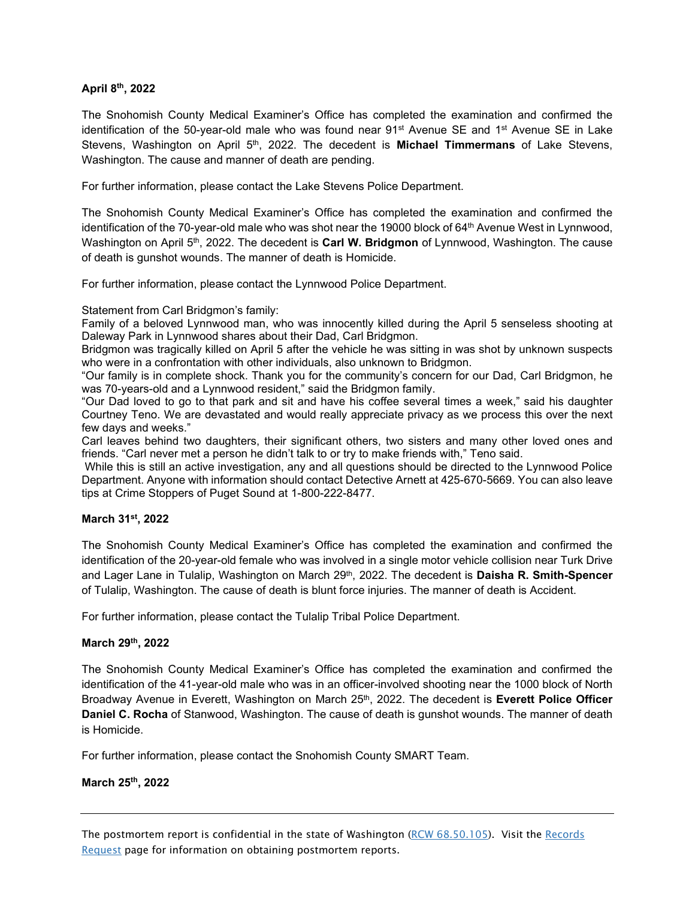#### **April 8th, 2022**

The Snohomish County Medical Examiner's Office has completed the examination and confirmed the identification of the 50-year-old male who was found near  $91^{st}$  Avenue SE and  $1^{st}$  Avenue SE in Lake Stevens, Washington on April 5th, 2022. The decedent is **Michael Timmermans** of Lake Stevens, Washington. The cause and manner of death are pending.

For further information, please contact the Lake Stevens Police Department.

The Snohomish County Medical Examiner's Office has completed the examination and confirmed the identification of the 70-year-old male who was shot near the 19000 block of 64<sup>th</sup> Avenue West in Lynnwood, Washington on April 5<sup>th</sup>, 2022. The decedent is **Carl W. Bridgmon** of Lynnwood, Washington. The cause of death is gunshot wounds. The manner of death is Homicide.

For further information, please contact the Lynnwood Police Department.

Statement from Carl Bridgmon's family:

Family of a beloved Lynnwood man, who was innocently killed during the April 5 senseless shooting at Daleway Park in Lynnwood shares about their Dad, Carl Bridgmon.

Bridgmon was tragically killed on April 5 after the vehicle he was sitting in was shot by unknown suspects who were in a confrontation with other individuals, also unknown to Bridgmon.

"Our family is in complete shock. Thank you for the community's concern for our Dad, Carl Bridgmon, he was 70-years-old and a Lynnwood resident," said the Bridgmon family.

"Our Dad loved to go to that park and sit and have his coffee several times a week," said his daughter Courtney Teno. We are devastated and would really appreciate privacy as we process this over the next few days and weeks."

Carl leaves behind two daughters, their significant others, two sisters and many other loved ones and friends. "Carl never met a person he didn't talk to or try to make friends with," Teno said.

While this is still an active investigation, any and all questions should be directed to the Lynnwood Police Department. Anyone with information should contact Detective Arnett at 425-670-5669. You can also leave tips at Crime Stoppers of Puget Sound at 1-800-222-8477.

#### **March 31st, 2022**

The Snohomish County Medical Examiner's Office has completed the examination and confirmed the identification of the 20-year-old female who was involved in a single motor vehicle collision near Turk Drive and Lager Lane in Tulalip, Washington on March 29<sup>th</sup>, 2022. The decedent is **Daisha R. Smith-Spencer** of Tulalip, Washington. The cause of death is blunt force injuries. The manner of death is Accident.

For further information, please contact the Tulalip Tribal Police Department.

#### **March 29th, 2022**

The Snohomish County Medical Examiner's Office has completed the examination and confirmed the identification of the 41-year-old male who was in an officer-involved shooting near the 1000 block of North Broadway Avenue in Everett, Washington on March 25<sup>th</sup>, 2022. The decedent is Everett Police Officer **Daniel C. Rocha** of Stanwood, Washington. The cause of death is gunshot wounds. The manner of death is Homicide.

For further information, please contact the Snohomish County SMART Team.

# **March 25th, 2022**

The postmortem report is confidential in the state of Washington [\(RCW 68.50.105\)](http://apps.leg.wa.gov/rcw/default.aspx?cite=68.50.105). Visit the [Records](http://www.snohomishcountywa.gov/771/Records-Requests)  [Request](http://www.snohomishcountywa.gov/771/Records-Requests) page for information on obtaining postmortem reports.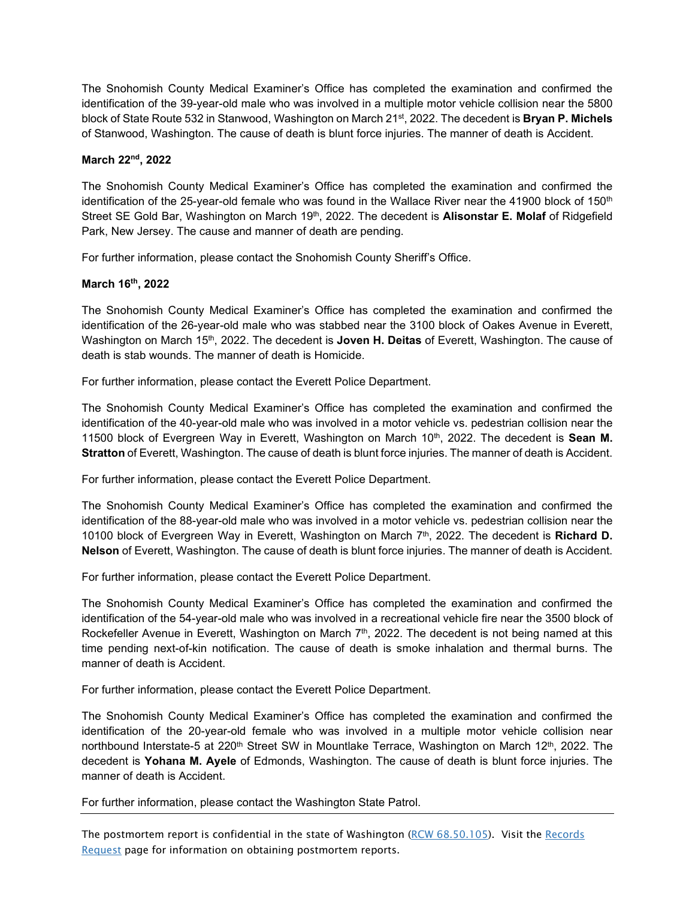The Snohomish County Medical Examiner's Office has completed the examination and confirmed the identification of the 39-year-old male who was involved in a multiple motor vehicle collision near the 5800 block of State Route 532 in Stanwood, Washington on March 21st, 2022. The decedent is **Bryan P. Michels**  of Stanwood, Washington. The cause of death is blunt force injuries. The manner of death is Accident.

### **March 22nd, 2022**

The Snohomish County Medical Examiner's Office has completed the examination and confirmed the identification of the 25-year-old female who was found in the Wallace River near the 41900 block of 150<sup>th</sup> Street SE Gold Bar, Washington on March 19th, 2022. The decedent is **Alisonstar E. Molaf** of Ridgefield Park, New Jersey. The cause and manner of death are pending.

For further information, please contact the Snohomish County Sheriff's Office.

# **March 16th, 2022**

The Snohomish County Medical Examiner's Office has completed the examination and confirmed the identification of the 26-year-old male who was stabbed near the 3100 block of Oakes Avenue in Everett, Washington on March 15th, 2022. The decedent is **Joven H. Deitas** of Everett, Washington. The cause of death is stab wounds. The manner of death is Homicide.

For further information, please contact the Everett Police Department.

The Snohomish County Medical Examiner's Office has completed the examination and confirmed the identification of the 40-year-old male who was involved in a motor vehicle vs. pedestrian collision near the 11500 block of Evergreen Way in Everett, Washington on March 10<sup>th</sup>, 2022. The decedent is **Sean M. Stratton** of Everett, Washington. The cause of death is blunt force injuries. The manner of death is Accident.

For further information, please contact the Everett Police Department.

The Snohomish County Medical Examiner's Office has completed the examination and confirmed the identification of the 88-year-old male who was involved in a motor vehicle vs. pedestrian collision near the 10100 block of Evergreen Way in Everett, Washington on March 7th, 2022. The decedent is **Richard D. Nelson** of Everett, Washington. The cause of death is blunt force injuries. The manner of death is Accident.

For further information, please contact the Everett Police Department.

The Snohomish County Medical Examiner's Office has completed the examination and confirmed the identification of the 54-year-old male who was involved in a recreational vehicle fire near the 3500 block of Rockefeller Avenue in Everett, Washington on March  $7<sup>th</sup>$ , 2022. The decedent is not being named at this time pending next-of-kin notification. The cause of death is smoke inhalation and thermal burns. The manner of death is Accident.

For further information, please contact the Everett Police Department.

The Snohomish County Medical Examiner's Office has completed the examination and confirmed the identification of the 20-year-old female who was involved in a multiple motor vehicle collision near northbound Interstate-5 at 220<sup>th</sup> Street SW in Mountlake Terrace, Washington on March 12<sup>th</sup>, 2022. The decedent is **Yohana M. Ayele** of Edmonds, Washington. The cause of death is blunt force injuries. The manner of death is Accident.

For further information, please contact the Washington State Patrol.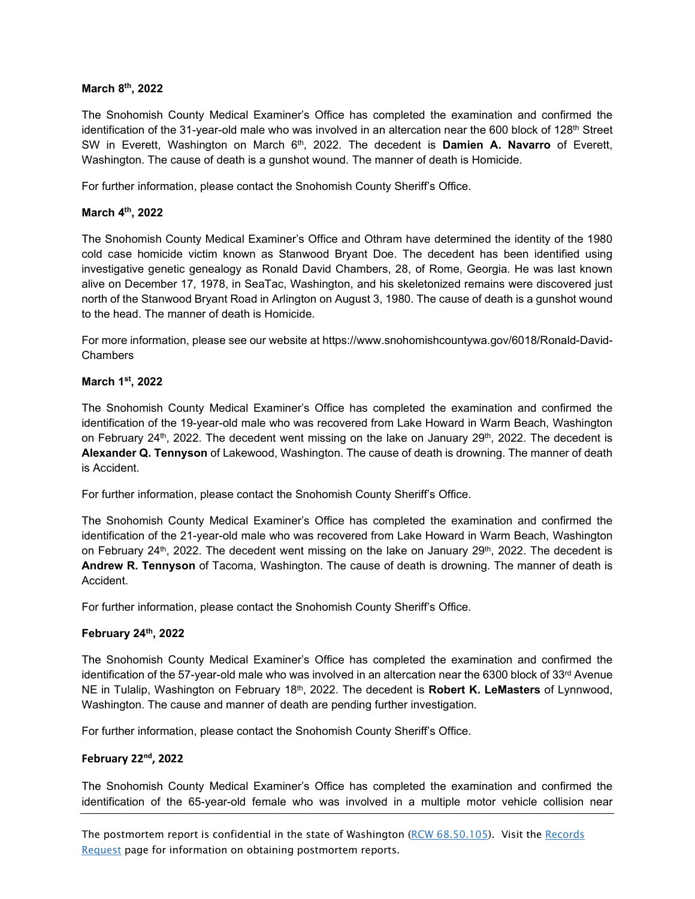#### **March 8th, 2022**

The Snohomish County Medical Examiner's Office has completed the examination and confirmed the identification of the 31-year-old male who was involved in an altercation near the 600 block of 128<sup>th</sup> Street SW in Everett, Washington on March 6th, 2022. The decedent is **Damien A. Navarro** of Everett, Washington. The cause of death is a gunshot wound. The manner of death is Homicide.

For further information, please contact the Snohomish County Sheriff's Office.

#### **March 4th, 2022**

The Snohomish County Medical Examiner's Office and Othram have determined the identity of the 1980 cold case homicide victim known as Stanwood Bryant Doe. The decedent has been identified using investigative genetic genealogy as Ronald David Chambers, 28, of Rome, Georgia. He was last known alive on December 17, 1978, in SeaTac, Washington, and his skeletonized remains were discovered just north of the Stanwood Bryant Road in Arlington on August 3, 1980. The cause of death is a gunshot wound to the head. The manner of death is Homicide.

For more information, please see our website at https://www.snohomishcountywa.gov/6018/Ronald-David-Chambers

#### **March 1st, 2022**

The Snohomish County Medical Examiner's Office has completed the examination and confirmed the identification of the 19-year-old male who was recovered from Lake Howard in Warm Beach, Washington on February 24<sup>th</sup>, 2022. The decedent went missing on the lake on January 29<sup>th</sup>, 2022. The decedent is **Alexander Q. Tennyson** of Lakewood, Washington. The cause of death is drowning. The manner of death is Accident.

For further information, please contact the Snohomish County Sheriff's Office.

The Snohomish County Medical Examiner's Office has completed the examination and confirmed the identification of the 21-year-old male who was recovered from Lake Howard in Warm Beach, Washington on February 24<sup>th</sup>, 2022. The decedent went missing on the lake on January 29<sup>th</sup>, 2022. The decedent is **Andrew R. Tennyson** of Tacoma, Washington. The cause of death is drowning. The manner of death is Accident.

For further information, please contact the Snohomish County Sheriff's Office.

# **February 24th, 2022**

The Snohomish County Medical Examiner's Office has completed the examination and confirmed the identification of the 57-year-old male who was involved in an altercation near the 6300 block of  $33<sup>rd</sup>$  Avenue NE in Tulalip, Washington on February 18th, 2022. The decedent is **Robert K. LeMasters** of Lynnwood, Washington. The cause and manner of death are pending further investigation.

For further information, please contact the Snohomish County Sheriff's Office.

#### **February 22nd, 2022**

The Snohomish County Medical Examiner's Office has completed the examination and confirmed the identification of the 65-year-old female who was involved in a multiple motor vehicle collision near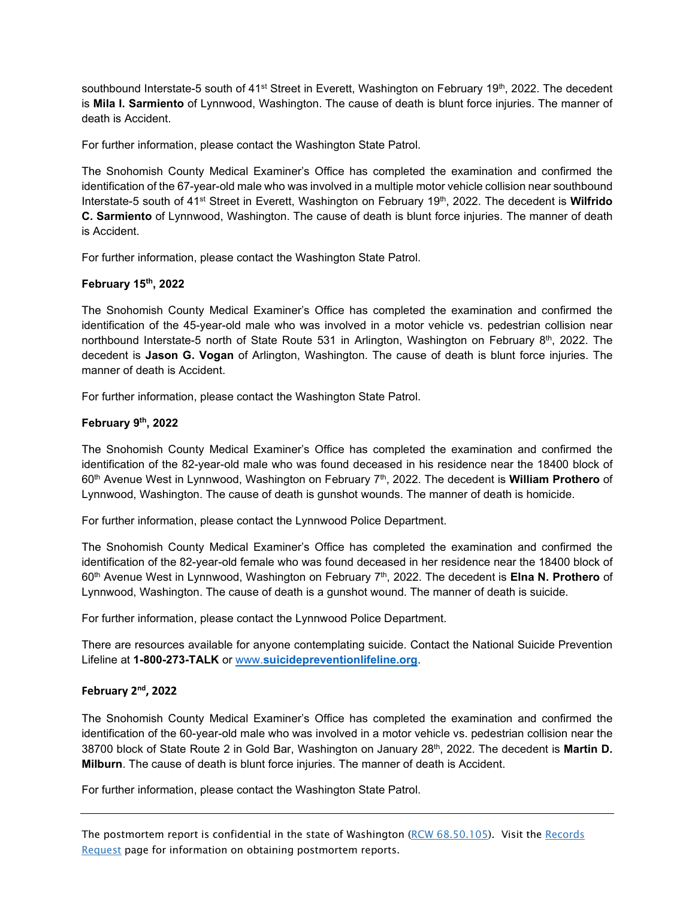southbound Interstate-5 south of 41<sup>st</sup> Street in Everett, Washington on February 19<sup>th</sup>, 2022. The decedent is **Mila I. Sarmiento** of Lynnwood, Washington. The cause of death is blunt force injuries. The manner of death is Accident.

For further information, please contact the Washington State Patrol.

The Snohomish County Medical Examiner's Office has completed the examination and confirmed the identification of the 67-year-old male who was involved in a multiple motor vehicle collision near southbound Interstate-5 south of 41st Street in Everett, Washington on February 19th, 2022. The decedent is **Wilfrido C. Sarmiento** of Lynnwood, Washington. The cause of death is blunt force injuries. The manner of death is Accident.

For further information, please contact the Washington State Patrol.

# **February 15th, 2022**

The Snohomish County Medical Examiner's Office has completed the examination and confirmed the identification of the 45-year-old male who was involved in a motor vehicle vs. pedestrian collision near northbound Interstate-5 north of State Route 531 in Arlington, Washington on February 8th, 2022. The decedent is **Jason G. Vogan** of Arlington, Washington. The cause of death is blunt force injuries. The manner of death is Accident.

For further information, please contact the Washington State Patrol.

#### **February 9th, 2022**

The Snohomish County Medical Examiner's Office has completed the examination and confirmed the identification of the 82-year-old male who was found deceased in his residence near the 18400 block of 60th Avenue West in Lynnwood, Washington on February 7th, 2022. The decedent is **William Prothero** of Lynnwood, Washington. The cause of death is gunshot wounds. The manner of death is homicide.

For further information, please contact the Lynnwood Police Department.

The Snohomish County Medical Examiner's Office has completed the examination and confirmed the identification of the 82-year-old female who was found deceased in her residence near the 18400 block of 60th Avenue West in Lynnwood, Washington on February 7th, 2022. The decedent is **Elna N. Prothero** of Lynnwood, Washington. The cause of death is a gunshot wound. The manner of death is suicide.

For further information, please contact the Lynnwood Police Department.

There are resources available for anyone contemplating suicide. Contact the National Suicide Prevention Lifeline at **1-800-273-TALK** or www.**[suicidepreventionlifeline.org](http://www.suicidepreventionlifeline.org/)**.

# **February 2nd, 2022**

The Snohomish County Medical Examiner's Office has completed the examination and confirmed the identification of the 60-year-old male who was involved in a motor vehicle vs. pedestrian collision near the 38700 block of State Route 2 in Gold Bar, Washington on January 28th, 2022. The decedent is **Martin D. Milburn**. The cause of death is blunt force injuries. The manner of death is Accident.

For further information, please contact the Washington State Patrol.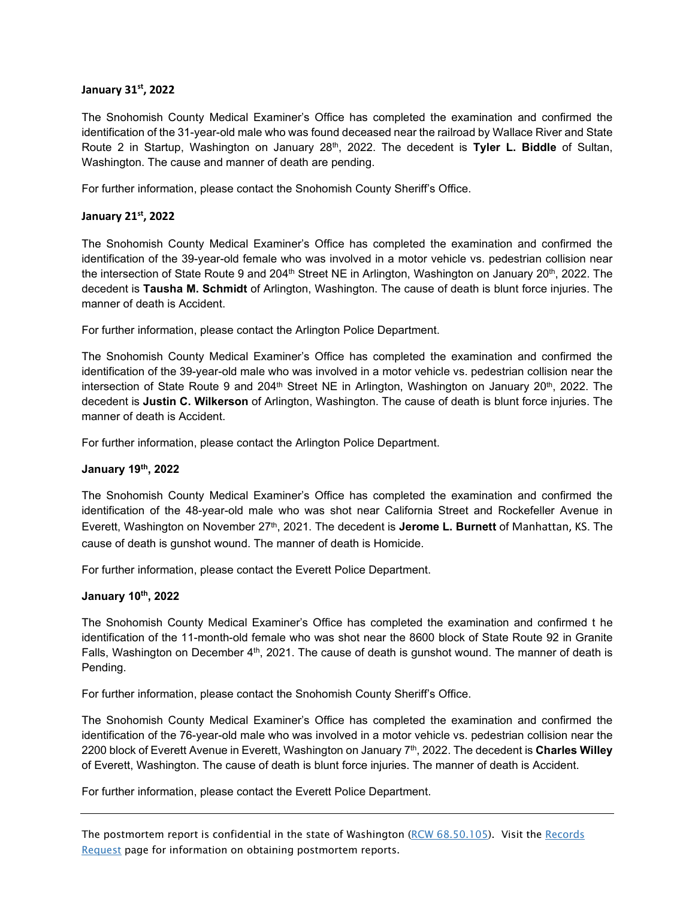#### **January 31st, 2022**

The Snohomish County Medical Examiner's Office has completed the examination and confirmed the identification of the 31-year-old male who was found deceased near the railroad by Wallace River and State Route 2 in Startup, Washington on January 28<sup>th</sup>, 2022. The decedent is Tyler L. Biddle of Sultan, Washington. The cause and manner of death are pending.

For further information, please contact the Snohomish County Sheriff's Office.

#### **January 21st, 2022**

The Snohomish County Medical Examiner's Office has completed the examination and confirmed the identification of the 39-year-old female who was involved in a motor vehicle vs. pedestrian collision near the intersection of State Route 9 and 204<sup>th</sup> Street NE in Arlington, Washington on January 20<sup>th</sup>, 2022. The decedent is **Tausha M. Schmidt** of Arlington, Washington. The cause of death is blunt force injuries. The manner of death is Accident.

For further information, please contact the Arlington Police Department.

The Snohomish County Medical Examiner's Office has completed the examination and confirmed the identification of the 39-year-old male who was involved in a motor vehicle vs. pedestrian collision near the intersection of State Route 9 and 204<sup>th</sup> Street NE in Arlington, Washington on January 20<sup>th</sup>, 2022. The decedent is **Justin C. Wilkerson** of Arlington, Washington. The cause of death is blunt force injuries. The manner of death is Accident.

For further information, please contact the Arlington Police Department.

#### **January 19th, 2022**

The Snohomish County Medical Examiner's Office has completed the examination and confirmed the identification of the 48-year-old male who was shot near California Street and Rockefeller Avenue in Everett, Washington on November 27<sup>th</sup>, 2021. The decedent is **Jerome L. Burnett** of Manhattan, KS. The cause of death is gunshot wound. The manner of death is Homicide.

For further information, please contact the Everett Police Department.

#### **January 10th, 2022**

The Snohomish County Medical Examiner's Office has completed the examination and confirmed t he identification of the 11-month-old female who was shot near the 8600 block of State Route 92 in Granite Falls, Washington on December  $4<sup>th</sup>$ , 2021. The cause of death is gunshot wound. The manner of death is Pending.

For further information, please contact the Snohomish County Sheriff's Office.

The Snohomish County Medical Examiner's Office has completed the examination and confirmed the identification of the 76-year-old male who was involved in a motor vehicle vs. pedestrian collision near the 2200 block of Everett Avenue in Everett, Washington on January 7th, 2022. The decedent is **Charles Willey** of Everett, Washington. The cause of death is blunt force injuries. The manner of death is Accident.

For further information, please contact the Everett Police Department.